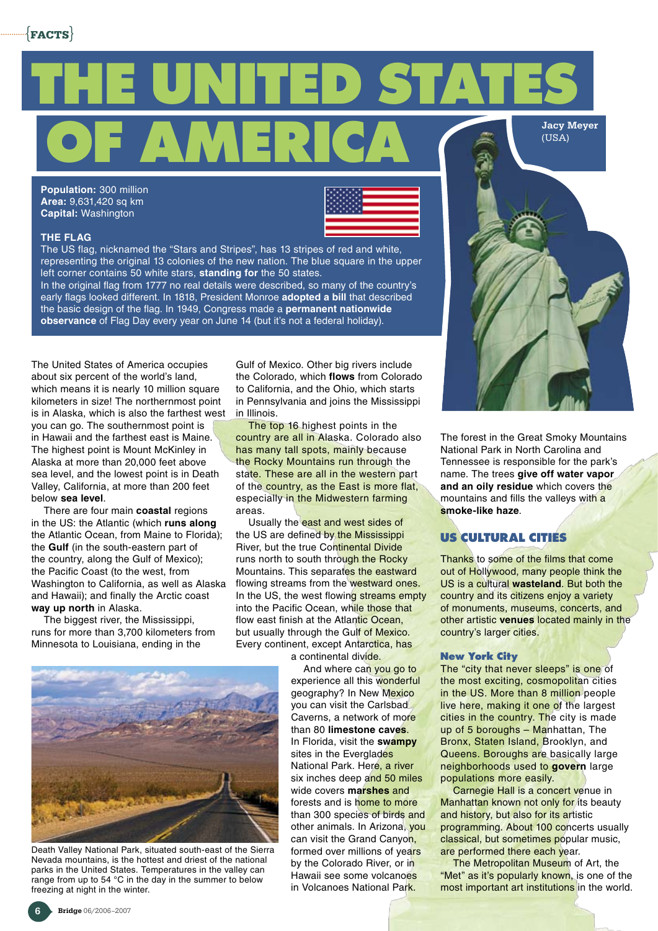

**Population:** 300 million **Area:** 9,631,420 sq km **Capital:** Washington

## **The flag**



The US flag, nicknamed the "Stars and Stripes", has 13 stripes of red and white, representing the original 13 colonies of the new nation. The blue square in the upper left corner contains 50 white stars, **standing for** the 50 states.

In the original flag from 1777 no real details were described, so many of the country's early flags looked different. In 1818, President Monroe **adopted a bill** that described the basic design of the flag. In 1949, Congress made a **permanent nationwide observance** of Flag Day every year on June 14 (but it's not a federal holiday).

The United States of America occupies about six percent of the world's land, which means it is nearly 10 million square kilometers in size! The northernmost point is in Alaska, which is also the farthest west you can go. The southernmost point is in Hawaii and the farthest east is Maine. The highest point is Mount McKinley in Alaska at more than 20,000 feet above sea level, and the lowest point is in Death Valley, California, at more than 200 feet below **sea level**.

There are four main **coastal** regions in the US: the Atlantic (which **runs along** the Atlantic Ocean, from Maine to Florida); the **Gulf** (in the south-eastern part of the country, along the Gulf of Mexico); the Pacific Coast (to the west, from Washington to California, as well as Alaska and Hawaii); and finally the Arctic coast **way up north** in Alaska.

The biggest river, the Mississippi, runs for more than 3,700 kilometers from Minnesota to Louisiana, ending in the

Gulf of Mexico. Other big rivers include the Colorado, which **flows** from Colorado to California, and the Ohio, which starts in Pennsylvania and joins the Mississippi in Illinois.

The top 16 highest points in the country are all in Alaska. Colorado also has many tall spots, mainly because the Rocky Mountains run through the state. These are all in the western part of the country, as the East is more flat, especially in the Midwestern farming areas.

Usually the east and west sides of the US are defined by the Mississippi River, but the true Continental Divide runs north to south through the Rocky Mountains. This separates the eastward flowing streams from the westward ones. In the US, the west flowing streams empty into the Pacific Ocean, while those that flow east finish at the Atlantic Ocean, but usually through the Gulf of Mexico. Every continent, except Antarctica, has a continental divide.

And where can you go to experience all this wonderful geography? In New Mexico you can visit the Carlsbad Caverns, a network of more than 80 **limestone caves**. In Florida, visit the **swampy** sites in the Everglades National Park. Here, a river six inches deep and 50 miles wide covers **marshes** and forests and is home to more than 300 species of birds and other animals. In Arizona, you can visit the Grand Canyon, formed over millions of years by the Colorado River, or in Hawaii see some volcanoes in Volcanoes National Park.



The forest in the Great Smoky Mountains National Park in North Carolina and Tennessee is responsible for the park's name. The trees **give off water vapor and an oily residue** which covers the mountains and fills the valleys with a **smoke-like haze**.

## **US cultural cities**

Thanks to some of the films that come out of Hollywood, many people think the US is a cultural **wasteland**. But both the country and its citizens enjoy a variety of monuments, museums, concerts, and other artistic **venues** located mainly in the country's larger cities.

#### **New York City**

The "city that never sleeps" is one of the most exciting, cosmopolitan cities in the US. More than 8 million people live here, making it one of the largest cities in the country. The city is made up of 5 boroughs – Manhattan, The Bronx, Staten Island, Brooklyn, and Queens. Boroughs are basically large neighborhoods used to **govern** large populations more easily.

Carnegie Hall is a concert venue in Manhattan known not only for its beauty and history, but also for its artistic programming. About 100 concerts usually classical, but sometimes popular music, are performed there each year.

The Metropolitan Museum of Art, the "Met" as it's popularly known, is one of the most important art institutions in the world.



Death Valley National Park, situated south-east of the Sierra Nevada mountains, is the hottest and driest of the national parks in the United States. Temperatures in the valley can range from up to 54 °C in the day in the summer to below freezing at night in the winter.